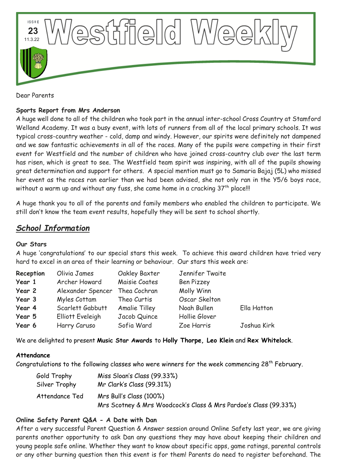

Dear Parents

# **Sports Report from Mrs Anderson**

A huge well done to all of the children who took part in the annual inter-school Cross Country at Stamford Welland Academy. It was a busy event, with lots of runners from all of the local primary schools. It was typical cross-country weather - cold, damp and windy. However, our spirits were definitely not dampened and we saw fantastic achievements in all of the races. Many of the pupils were competing in their first event for Westfield and the number of children who have joined cross-country club over the last term has risen, which is great to see. The Westfield team spirit was inspiring, with all of the pupils showing great determination and support for others. A special mention must go to Samaria Bajaj (5L) who missed her event as the races ran earlier than we had been advised, she not only ran in the Y5/6 boys race, without a warm up and without any fuss, she came home in a cracking 37<sup>th</sup> place!!!

A huge thank you to all of the parents and family members who enabled the children to participate. We still don't know the team event results, hopefully they will be sent to school shortly.

# *School Information*

### **Our Stars**

A huge 'congratulations' to our special stars this week. To achieve this award children have tried very hard to excel in an area of their learning or behaviour. Our stars this week are:

| Reception | Olivia James      | Oakley Baxter        | Jennifer Twaite   |             |
|-----------|-------------------|----------------------|-------------------|-------------|
| Year 1    | Archer Howard     | Maisie Coates        | <b>Ben Pizzey</b> |             |
| Year 2    | Alexander Spencer | Thea Cochran         | Molly Winn        |             |
| Year 3    | Myles Cottam      | Theo Curtis          | Oscar Skelton     |             |
| Year 4    | Scarlett Gabbutt  | <b>Amalie Tilley</b> | Noah Bullen       | Ella Hatton |
| Year 5    | Elliott Eveleigh  | Jacob Quince         | Hollie Glover     |             |
| Year 6    | Harry Caruso      | Sofia Ward           | Zoe Harris        | Joshua Kirk |

We are delighted to present **Music Star Awards** to **Holly Thorpe, Leo Klein** and **Rex Whitelock**.

### **Attendance**

Congratulations to the following classes who were winners for the week commencing 28<sup>th</sup> February.

| Gold Trophy    | Miss Sloan's Class (99.33%)                                      |
|----------------|------------------------------------------------------------------|
| Silver Trophy  | Mr Clark's Class (99.31%)                                        |
| Attendance Ted | Mrs Bull's Class (100%)                                          |
|                | Mrs Scotney & Mrs Woodcock's Class & Mrs Pardoe's Class (99.33%) |

# **Online Safety Parent Q&A - A Date with Dan**

After a very successful Parent Question & Answer session around Online Safety last year, we are giving parents another opportunity to ask Dan any questions they may have about keeping their children and young people safe online. Whether they want to know about specific apps, game ratings, parental controls or any other burning question then this event is for them! Parents do need to register beforehand. The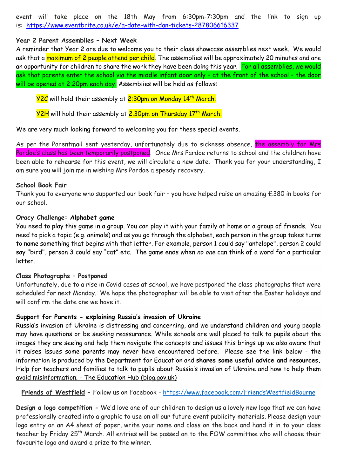event will take place on the 18th May from 6:30pm-7:30pm and the link to sign up is: [https://www.eventbrite.co.uk/e/a-date-with-dan-tickets-287806616337](https://lincolnshire.us8.list-manage.com/track/click?u=3cf59469d7c06d7f6c53d43c3&id=83d6184780&e=4e05b0ef18)

### **Year 2 Parent Assemblies – Next Week**

A reminder that Year 2 are due to welcome you to their class showcase assemblies next week. We would ask that a maximum of 2 people attend per child. The assemblies will be approximately 20 minutes and are an opportunity for children to share the work they have been doing this year. For all assemblies, we would ask that parents enter the school via the middle infant door only – at the front of the school – the door will be opened at 2:20pm each day. Assemblies will be held as follows:

**Y2C** will hold their assembly at 2:30pm on Monday 14th March.

<mark>Y2H</mark> will hold their assembly at <mark>2.30pm on Thursday 17th March.</mark>

We are very much looking forward to welcoming you for these special events.

As per the Parentmail sent yesterday, unfortunately due to sickness absence, the assembly for Mrs Pardoe's class has been temporarily postponed. Once Mrs Pardoe returns to school and the children have been able to rehearse for this event, we will circulate a new date. Thank you for your understanding, I am sure you will join me in wishing Mrs Pardoe a speedy recovery.

#### **School Book Fair**

Thank you to everyone who supported our book fair – you have helped raise an amazing £380 in books for our school.

#### **Oracy Challenge: Alphabet game**

You need to play this game in a group. You can play it with your family at home or a group of friends. You need to pick a topic (e.g. animals) and as you go through the alphabet, each person in the group takes turns to name something that begins with that letter. For example, person 1 could say "antelope", person 2 could say "bird", person 3 could say "cat" etc. The game ends when *no one* can think of a word for a particular letter.

#### **Class Photographs – Postponed**

Unfortunately, due to a rise in Covid cases at school, we have postponed the class photographs that were scheduled for next Monday. We hope the photographer will be able to visit after the Easter holidays and will confirm the date one we have it.

### **Support for Parents - explaining Russia's invasion of Ukraine**

Russia's invasion of Ukraine is distressing and concerning, and we understand children and young people may have questions or be seeking reassurance. While schools are well placed to talk to pupils about the images they are seeing and help them navigate the concepts and issues this brings up we also aware that it raises issues some parents may never have encountered before. Please see the link below - the information is produced by the Department for Education and **shares some useful advice and resources.** [Help for teachers and families to talk to pupils about Russia's invasion of Ukraine and how to help them](https://gbr01.safelinks.protection.outlook.com/?url=https%3A%2F%2Feducationhub.blog.gov.uk%2F2022%2F02%2F25%2Fhelp-for-teachers-and-families-to-talk-to-pupils-about-russias-invasion-of-ukraine-and-how-to-help-them-avoid-misinformation%2F&data=04%7C01%7CEloise.Malam%40lincolnshire.gov.uk%7C482d551169ce409bea6e08da00f66b64%7Cb4e05b92f8ce46b59b2499ba5c11e5e9%7C0%7C0%7C637823355636969632%7CUnknown%7CTWFpbGZsb3d8eyJWIjoiMC4wLjAwMDAiLCJQIjoiV2luMzIiLCJBTiI6Ik1haWwiLCJXVCI6Mn0%3D%7C3000&sdata=uvP6HAMrm9CVC5EmllkoqQJ0iY407m4tr8g%2Fc6rjmVw%3D&reserved=0)  avoid misinformation. - [The Education Hub \(blog.gov.uk\)](https://gbr01.safelinks.protection.outlook.com/?url=https%3A%2F%2Feducationhub.blog.gov.uk%2F2022%2F02%2F25%2Fhelp-for-teachers-and-families-to-talk-to-pupils-about-russias-invasion-of-ukraine-and-how-to-help-them-avoid-misinformation%2F&data=04%7C01%7CEloise.Malam%40lincolnshire.gov.uk%7C482d551169ce409bea6e08da00f66b64%7Cb4e05b92f8ce46b59b2499ba5c11e5e9%7C0%7C0%7C637823355636969632%7CUnknown%7CTWFpbGZsb3d8eyJWIjoiMC4wLjAwMDAiLCJQIjoiV2luMzIiLCJBTiI6Ik1haWwiLCJXVCI6Mn0%3D%7C3000&sdata=uvP6HAMrm9CVC5EmllkoqQJ0iY407m4tr8g%2Fc6rjmVw%3D&reserved=0)

### **Friends of Westfield –** Follow us on Facebook - <https://www.facebook.com/FriendsWestfieldBourne>

**Design a logo competition -** We'd love one of our children to design us a lovely new logo that we can have professionally created into a graphic to use on all our future event publicity materials. Please design your logo entry on an A4 sheet of paper, write your name and class on the back and hand it in to your class teacher by Friday 25<sup>th</sup> March. All entries will be passed on to the FOW committee who will choose their favourite logo and award a prize to the winner.